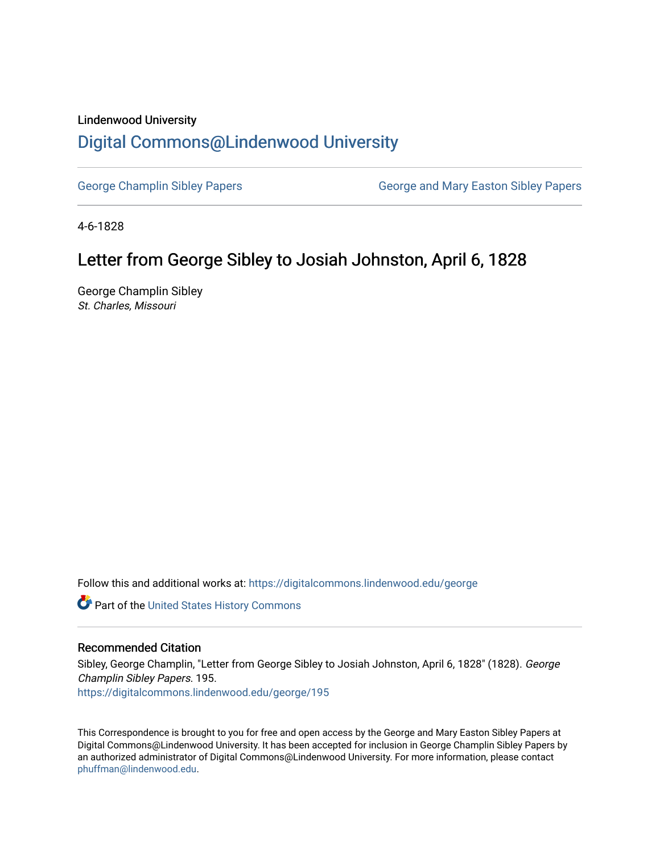### Lindenwood University

# [Digital Commons@Lindenwood University](https://digitalcommons.lindenwood.edu/)

[George Champlin Sibley Papers](https://digitalcommons.lindenwood.edu/george) George and Mary Easton Sibley Papers

4-6-1828

# Letter from George Sibley to Josiah Johnston, April 6, 1828

George Champlin Sibley St. Charles, Missouri

Follow this and additional works at: [https://digitalcommons.lindenwood.edu/george](https://digitalcommons.lindenwood.edu/george?utm_source=digitalcommons.lindenwood.edu%2Fgeorge%2F195&utm_medium=PDF&utm_campaign=PDFCoverPages)

Part of the [United States History Commons](http://network.bepress.com/hgg/discipline/495?utm_source=digitalcommons.lindenwood.edu%2Fgeorge%2F195&utm_medium=PDF&utm_campaign=PDFCoverPages) 

### Recommended Citation

Sibley, George Champlin, "Letter from George Sibley to Josiah Johnston, April 6, 1828" (1828). George Champlin Sibley Papers. 195. [https://digitalcommons.lindenwood.edu/george/195](https://digitalcommons.lindenwood.edu/george/195?utm_source=digitalcommons.lindenwood.edu%2Fgeorge%2F195&utm_medium=PDF&utm_campaign=PDFCoverPages)

This Correspondence is brought to you for free and open access by the George and Mary Easton Sibley Papers at Digital Commons@Lindenwood University. It has been accepted for inclusion in George Champlin Sibley Papers by an authorized administrator of Digital Commons@Lindenwood University. For more information, please contact [phuffman@lindenwood.edu](mailto:phuffman@lindenwood.edu).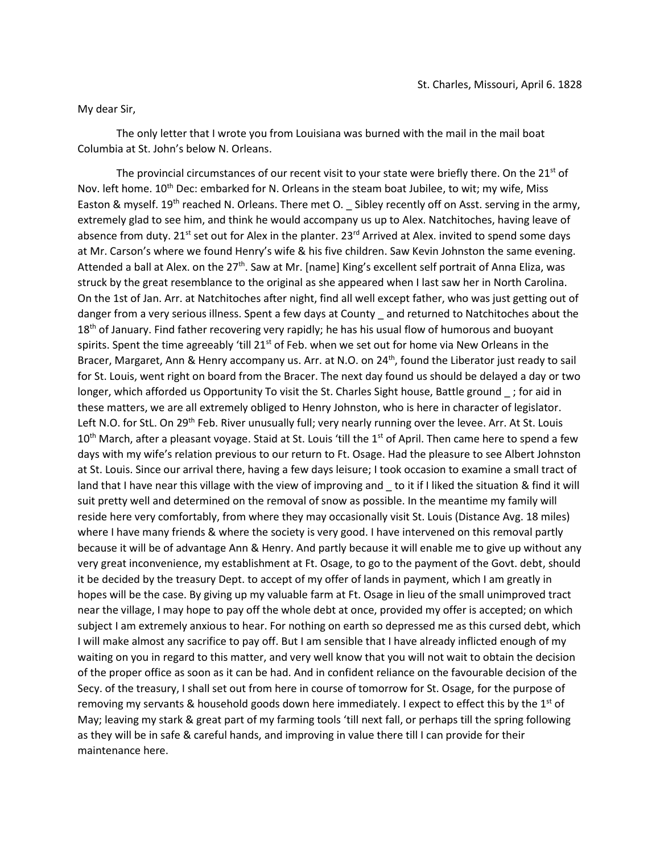#### My dear Sir,

The only letter that I wrote you from Louisiana was burned with the mail in the mail boat Columbia at St. John's below N. Orleans.

The provincial circumstances of our recent visit to your state were briefly there. On the 21<sup>st</sup> of Nov. left home. 10<sup>th</sup> Dec: embarked for N. Orleans in the steam boat Jubilee, to wit; my wife, Miss Easton & myself. 19<sup>th</sup> reached N. Orleans. There met O. Sibley recently off on Asst. serving in the army, extremely glad to see him, and think he would accompany us up to Alex. Natchitoches, having leave of absence from duty. 21<sup>st</sup> set out for Alex in the planter. 23<sup>rd</sup> Arrived at Alex. invited to spend some days at Mr. Carson's where we found Henry's wife & his five children. Saw Kevin Johnston the same evening. Attended a ball at Alex. on the  $27<sup>th</sup>$ . Saw at Mr. [name] King's excellent self portrait of Anna Eliza, was struck by the great resemblance to the original as she appeared when I last saw her in North Carolina. On the 1st of Jan. Arr. at Natchitoches after night, find all well except father, who was just getting out of danger from a very serious illness. Spent a few days at County \_ and returned to Natchitoches about the 18<sup>th</sup> of January. Find father recovering very rapidly; he has his usual flow of humorous and buoyant spirits. Spent the time agreeably 'till  $21^{st}$  of Feb. when we set out for home via New Orleans in the Bracer, Margaret, Ann & Henry accompany us. Arr. at N.O. on 24<sup>th</sup>, found the Liberator just ready to sail for St. Louis, went right on board from the Bracer. The next day found us should be delayed a day or two longer, which afforded us Opportunity To visit the St. Charles Sight house, Battle ground ; for aid in these matters, we are all extremely obliged to Henry Johnston, who is here in character of legislator. Left N.O. for StL. On 29<sup>th</sup> Feb. River unusually full; very nearly running over the levee. Arr. At St. Louis 10<sup>th</sup> March, after a pleasant voyage. Staid at St. Louis 'till the 1<sup>st</sup> of April. Then came here to spend a few days with my wife's relation previous to our return to Ft. Osage. Had the pleasure to see Albert Johnston at St. Louis. Since our arrival there, having a few days leisure; I took occasion to examine a small tract of land that I have near this village with the view of improving and \_ to it if I liked the situation & find it will suit pretty well and determined on the removal of snow as possible. In the meantime my family will reside here very comfortably, from where they may occasionally visit St. Louis (Distance Avg. 18 miles) where I have many friends & where the society is very good. I have intervened on this removal partly because it will be of advantage Ann & Henry. And partly because it will enable me to give up without any very great inconvenience, my establishment at Ft. Osage, to go to the payment of the Govt. debt, should it be decided by the treasury Dept. to accept of my offer of lands in payment, which I am greatly in hopes will be the case. By giving up my valuable farm at Ft. Osage in lieu of the small unimproved tract near the village, I may hope to pay off the whole debt at once, provided my offer is accepted; on which subject I am extremely anxious to hear. For nothing on earth so depressed me as this cursed debt, which I will make almost any sacrifice to pay off. But I am sensible that I have already inflicted enough of my waiting on you in regard to this matter, and very well know that you will not wait to obtain the decision of the proper office as soon as it can be had. And in confident reliance on the favourable decision of the Secy. of the treasury, I shall set out from here in course of tomorrow for St. Osage, for the purpose of removing my servants & household goods down here immediately. I expect to effect this by the  $1<sup>st</sup>$  of May; leaving my stark & great part of my farming tools 'till next fall, or perhaps till the spring following as they will be in safe & careful hands, and improving in value there till I can provide for their maintenance here.